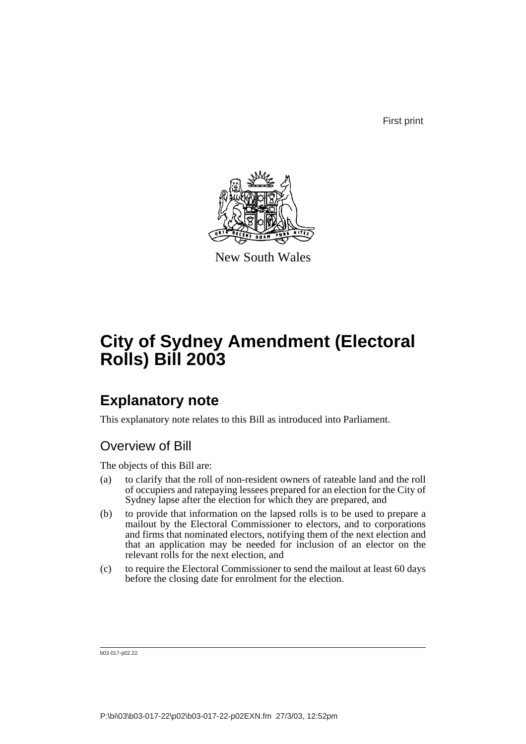First print



New South Wales

# **City of Sydney Amendment (Electoral Rolls) Bill 2003**

## **Explanatory note**

This explanatory note relates to this Bill as introduced into Parliament.

## Overview of Bill

The objects of this Bill are:

- (a) to clarify that the roll of non-resident owners of rateable land and the roll of occupiers and ratepaying lessees prepared for an election for the City of Sydney lapse after the election for which they are prepared, and
- (b) to provide that information on the lapsed rolls is to be used to prepare a mailout by the Electoral Commissioner to electors, and to corporations and firms that nominated electors, notifying them of the next election and that an application may be needed for inclusion of an elector on the relevant rolls for the next election, and
- (c) to require the Electoral Commissioner to send the mailout at least 60 days before the closing date for enrolment for the election.

b03-017-p02.22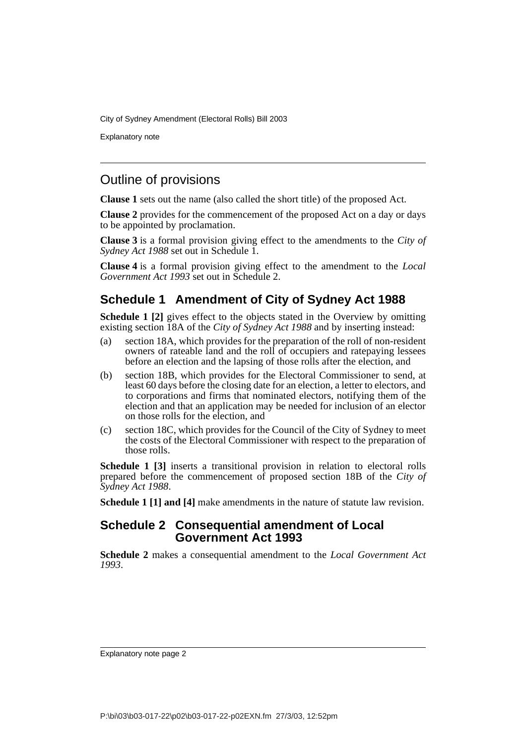Explanatory note

### Outline of provisions

**Clause 1** sets out the name (also called the short title) of the proposed Act.

**Clause 2** provides for the commencement of the proposed Act on a day or days to be appointed by proclamation.

**Clause 3** is a formal provision giving effect to the amendments to the *City of Sydney Act 1988* set out in Schedule 1.

**Clause 4** is a formal provision giving effect to the amendment to the *Local Government Act 1993* set out in Schedule 2.

### **Schedule 1 Amendment of City of Sydney Act 1988**

**Schedule 1 [2]** gives effect to the objects stated in the Overview by omitting existing section 18A of the *City of Sydney Act 1988* and by inserting instead:

- (a) section 18A, which provides for the preparation of the roll of non-resident owners of rateable land and the roll of occupiers and ratepaying lessees before an election and the lapsing of those rolls after the election, and
- (b) section 18B, which provides for the Electoral Commissioner to send, at least 60 days before the closing date for an election, a letter to electors, and to corporations and firms that nominated electors, notifying them of the election and that an application may be needed for inclusion of an elector on those rolls for the election, and
- (c) section 18C, which provides for the Council of the City of Sydney to meet the costs of the Electoral Commissioner with respect to the preparation of those rolls.

**Schedule 1 [3]** inserts a transitional provision in relation to electoral rolls prepared before the commencement of proposed section 18B of the *City of Sydney Act 1988*.

**Schedule 1 [1] and [4]** make amendments in the nature of statute law revision.

#### **Schedule 2 Consequential amendment of Local Government Act 1993**

**Schedule 2** makes a consequential amendment to the *Local Government Act 1993*.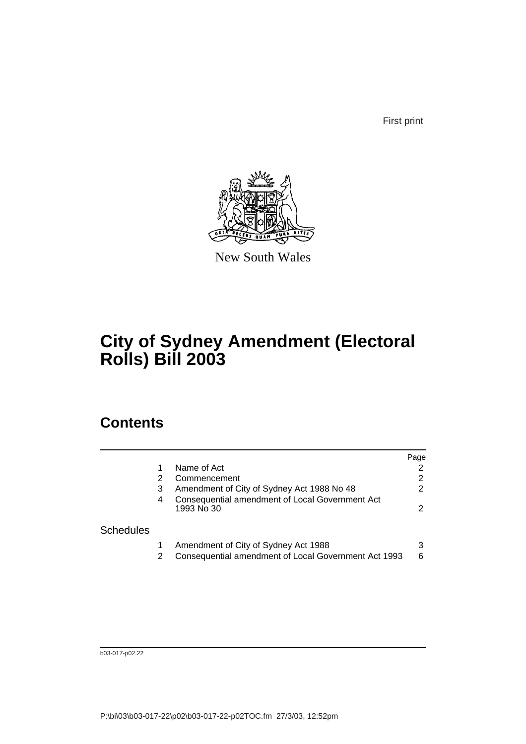First print



New South Wales

# **City of Sydney Amendment (Electoral Rolls) Bill 2003**

## **Contents**

|                  |   |                                                                                              | Page   |
|------------------|---|----------------------------------------------------------------------------------------------|--------|
|                  |   | Name of Act                                                                                  |        |
|                  |   | Commencement                                                                                 | 2      |
|                  | 3 | Amendment of City of Sydney Act 1988 No 48                                                   | 2      |
|                  | 4 | Consequential amendment of Local Government Act<br>1993 No 30                                | 2      |
| <b>Schedules</b> |   |                                                                                              |        |
|                  |   | Amendment of City of Sydney Act 1988<br>Consequential amendment of Local Government Act 1993 | 3<br>6 |

b03-017-p02.22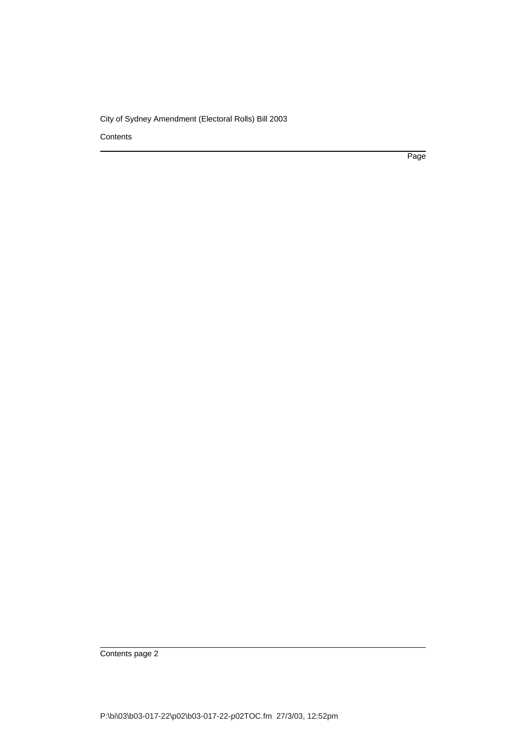**Contents** 

Page

Contents page 2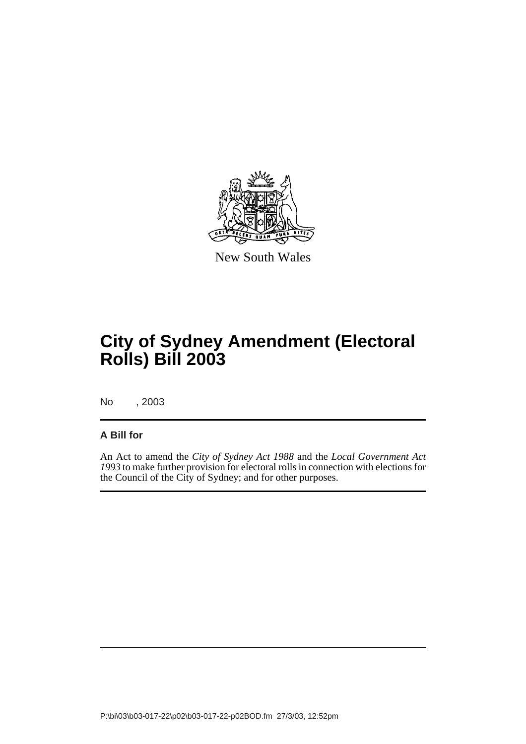

New South Wales

# **City of Sydney Amendment (Electoral Rolls) Bill 2003**

No , 2003

#### **A Bill for**

An Act to amend the *City of Sydney Act 1988* and the *Local Government Act 1993* to make further provision for electoral rolls in connection with elections for the Council of the City of Sydney; and for other purposes.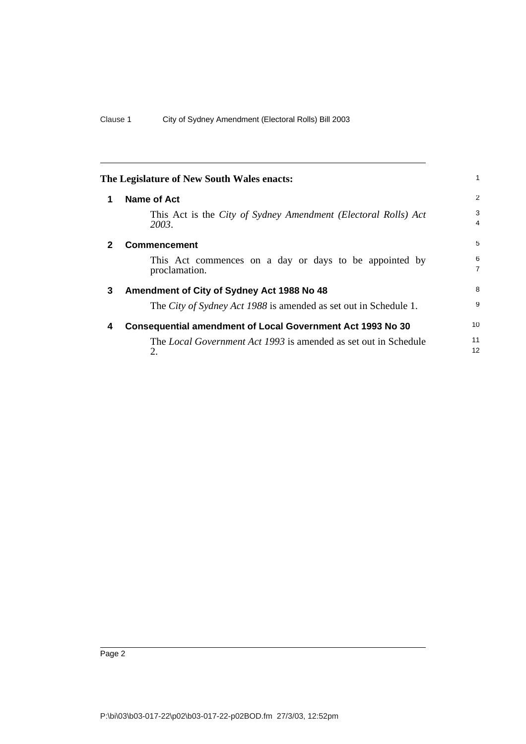<span id="page-5-3"></span><span id="page-5-2"></span><span id="page-5-1"></span><span id="page-5-0"></span>

|              | The Legislature of New South Wales enacts:                                   | $\mathbf{1}$        |
|--------------|------------------------------------------------------------------------------|---------------------|
| 1            | <b>Name of Act</b>                                                           | 2                   |
|              | This Act is the City of Sydney Amendment (Electoral Rolls) Act<br>2003.      | 3<br>4              |
| $\mathbf{2}$ | <b>Commencement</b>                                                          | 5                   |
|              | This Act commences on a day or days to be appointed by<br>proclamation.      | 6<br>$\overline{7}$ |
| 3            | Amendment of City of Sydney Act 1988 No 48                                   | 8                   |
|              | The City of Sydney Act 1988 is amended as set out in Schedule 1.             | 9                   |
| 4            | <b>Consequential amendment of Local Government Act 1993 No 30</b>            | 10 <sup>1</sup>     |
|              | The <i>Local Government Act 1993</i> is amended as set out in Schedule<br>2. | 11<br>12            |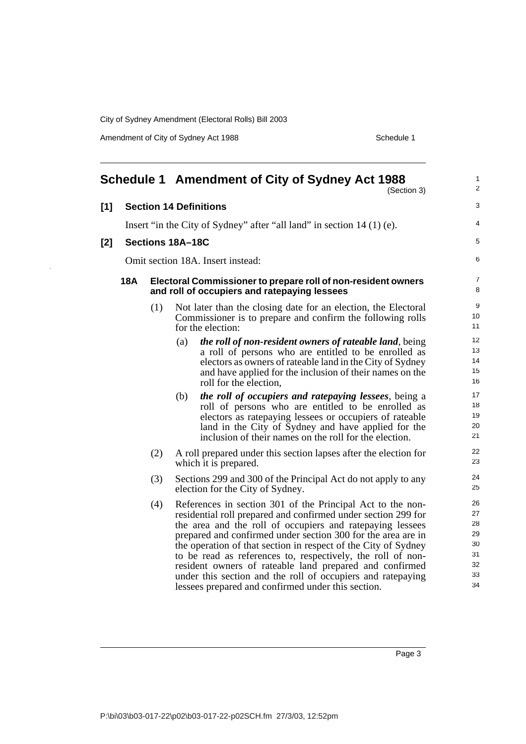Amendment of City of Sydney Act 1988 Schedule 1

<span id="page-6-0"></span>

|       |            |     | Schedule 1 Amendment of City of Sydney Act 1988<br>(Section 3)                                                                                                                                                                                                                                                                                                                                                                                                                                                                                                            | $\mathbf{1}$<br>2                                  |
|-------|------------|-----|---------------------------------------------------------------------------------------------------------------------------------------------------------------------------------------------------------------------------------------------------------------------------------------------------------------------------------------------------------------------------------------------------------------------------------------------------------------------------------------------------------------------------------------------------------------------------|----------------------------------------------------|
| [1]   |            |     | <b>Section 14 Definitions</b>                                                                                                                                                                                                                                                                                                                                                                                                                                                                                                                                             | 3                                                  |
|       |            |     | Insert "in the City of Sydney" after "all land" in section 14 (1) (e).                                                                                                                                                                                                                                                                                                                                                                                                                                                                                                    | 4                                                  |
| $[2]$ |            |     | Sections 18A-18C                                                                                                                                                                                                                                                                                                                                                                                                                                                                                                                                                          | 5                                                  |
|       |            |     |                                                                                                                                                                                                                                                                                                                                                                                                                                                                                                                                                                           | 6                                                  |
|       |            |     | Omit section 18A. Insert instead:                                                                                                                                                                                                                                                                                                                                                                                                                                                                                                                                         |                                                    |
|       | <b>18A</b> |     | Electoral Commissioner to prepare roll of non-resident owners<br>and roll of occupiers and ratepaying lessees                                                                                                                                                                                                                                                                                                                                                                                                                                                             | $\overline{7}$<br>8                                |
|       |            | (1) | Not later than the closing date for an election, the Electoral<br>Commissioner is to prepare and confirm the following rolls<br>for the election:                                                                                                                                                                                                                                                                                                                                                                                                                         | 9<br>10<br>11                                      |
|       |            |     | the roll of non-resident owners of rateable land, being<br>(a)<br>a roll of persons who are entitled to be enrolled as<br>electors as owners of rateable land in the City of Sydney<br>and have applied for the inclusion of their names on the<br>roll for the election,                                                                                                                                                                                                                                                                                                 | 12<br>13<br>14<br>15<br>16                         |
|       |            |     | the roll of occupiers and ratepaying lessees, being a<br>(b)<br>roll of persons who are entitled to be enrolled as<br>electors as ratepaying lessees or occupiers of rateable<br>land in the City of Sydney and have applied for the<br>inclusion of their names on the roll for the election.                                                                                                                                                                                                                                                                            | 17<br>18<br>19<br>20<br>21                         |
|       |            | (2) | A roll prepared under this section lapses after the election for<br>which it is prepared.                                                                                                                                                                                                                                                                                                                                                                                                                                                                                 | 22<br>23                                           |
|       |            | (3) | Sections 299 and 300 of the Principal Act do not apply to any<br>election for the City of Sydney.                                                                                                                                                                                                                                                                                                                                                                                                                                                                         | 24<br>25                                           |
|       |            | (4) | References in section 301 of the Principal Act to the non-<br>residential roll prepared and confirmed under section 299 for<br>the area and the roll of occupiers and ratepaying lessees<br>prepared and confirmed under section 300 for the area are in<br>the operation of that section in respect of the City of Sydney<br>to be read as references to, respectively, the roll of non-<br>resident owners of rateable land prepared and confirmed<br>under this section and the roll of occupiers and ratepaying<br>lessees prepared and confirmed under this section. | 26<br>27<br>28<br>29<br>30<br>31<br>32<br>33<br>34 |

Page 3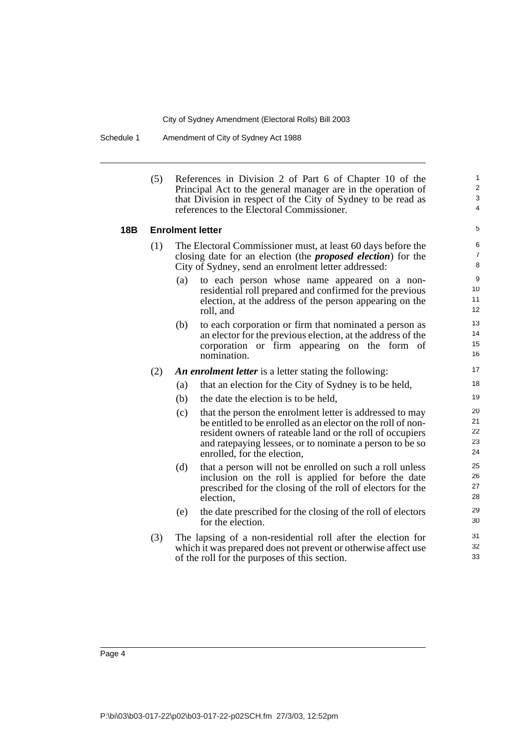Schedule 1 Amendment of City of Sydney Act 1988

(5) References in Division 2 of Part 6 of Chapter 10 of the Principal Act to the general manager are in the operation of that Division in respect of the City of Sydney to be read as references to the Electoral Commissioner.

#### **18B Enrolment letter**

- (1) The Electoral Commissioner must, at least 60 days before the closing date for an election (the *proposed election*) for the City of Sydney, send an enrolment letter addressed:
	- (a) to each person whose name appeared on a nonresidential roll prepared and confirmed for the previous election, at the address of the person appearing on the roll, and
	- (b) to each corporation or firm that nominated a person as an elector for the previous election, at the address of the corporation or firm appearing on the form of nomination.

#### (2) *An enrolment letter* is a letter stating the following:

- (a) that an election for the City of Sydney is to be held,
- (b) the date the election is to be held,
- (c) that the person the enrolment letter is addressed to may be entitled to be enrolled as an elector on the roll of nonresident owners of rateable land or the roll of occupiers and ratepaying lessees, or to nominate a person to be so enrolled, for the election,
- (d) that a person will not be enrolled on such a roll unless inclusion on the roll is applied for before the date prescribed for the closing of the roll of electors for the election,
- (e) the date prescribed for the closing of the roll of electors for the election.
- (3) The lapsing of a non-residential roll after the election for which it was prepared does not prevent or otherwise affect use of the roll for the purposes of this section.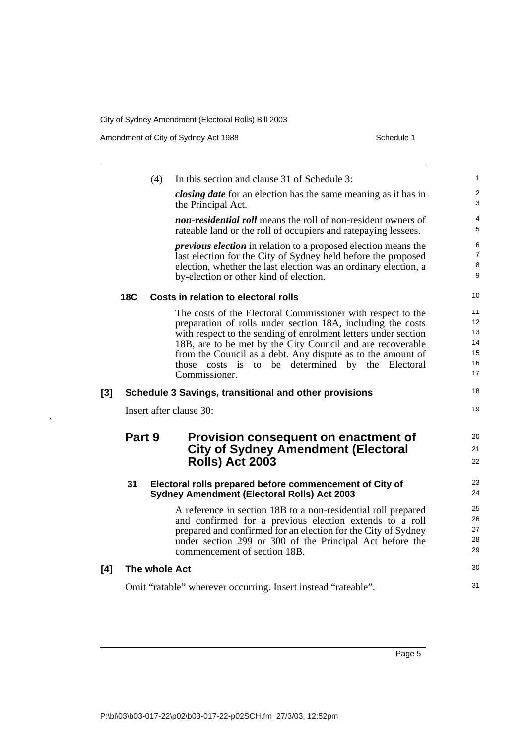| Amendment of City of Sydney Act 1988 | Schedule 1 |
|--------------------------------------|------------|
|--------------------------------------|------------|

 $\bar{\mathcal{A}}$ 

|            | (4) | In this section and clause 31 of Schedule 3:                                                                                                                                                                                                                                                                                                                                                   | $\mathbf{1}$                                                                                                                                                                                                                                                                                                                                          |
|------------|-----|------------------------------------------------------------------------------------------------------------------------------------------------------------------------------------------------------------------------------------------------------------------------------------------------------------------------------------------------------------------------------------------------|-------------------------------------------------------------------------------------------------------------------------------------------------------------------------------------------------------------------------------------------------------------------------------------------------------------------------------------------------------|
|            |     | <i>closing date</i> for an election has the same meaning as it has in<br>the Principal Act.                                                                                                                                                                                                                                                                                                    | $\overline{\mathbf{c}}$<br>3                                                                                                                                                                                                                                                                                                                          |
|            |     | <i>non-residential roll</i> means the roll of non-resident owners of<br>rateable land or the roll of occupiers and rate paying lessees.                                                                                                                                                                                                                                                        | 4<br>5                                                                                                                                                                                                                                                                                                                                                |
|            |     | <i>previous election</i> in relation to a proposed election means the<br>last election for the City of Sydney held before the proposed<br>election, whether the last election was an ordinary election, a<br>by-election or other kind of election.                                                                                                                                            | 6<br>$\overline{7}$<br>8<br>9                                                                                                                                                                                                                                                                                                                         |
| <b>18C</b> |     |                                                                                                                                                                                                                                                                                                                                                                                                | 10                                                                                                                                                                                                                                                                                                                                                    |
|            |     | The costs of the Electoral Commissioner with respect to the<br>preparation of rolls under section 18A, including the costs<br>with respect to the sending of enrolment letters under section<br>18B, are to be met by the City Council and are recoverable<br>from the Council as a debt. Any dispute as to the amount of<br>those costs is to be determined by the Electoral<br>Commissioner. | 11<br>12<br>13<br>14<br>15<br>16<br>17                                                                                                                                                                                                                                                                                                                |
|            |     |                                                                                                                                                                                                                                                                                                                                                                                                | 18                                                                                                                                                                                                                                                                                                                                                    |
|            |     |                                                                                                                                                                                                                                                                                                                                                                                                | 19                                                                                                                                                                                                                                                                                                                                                    |
|            |     | Provision consequent on enactment of<br><b>City of Sydney Amendment (Electoral</b>                                                                                                                                                                                                                                                                                                             | 20<br>21<br>22                                                                                                                                                                                                                                                                                                                                        |
| 31         |     |                                                                                                                                                                                                                                                                                                                                                                                                | 23<br>24                                                                                                                                                                                                                                                                                                                                              |
|            |     | A reference in section 18B to a non-residential roll prepared<br>and confirmed for a previous election extends to a roll<br>prepared and confirmed for an election for the City of Sydney<br>under section 299 or 300 of the Principal Act before the<br>commencement of section 18B.                                                                                                          | 25<br>26<br>27<br>28<br>29                                                                                                                                                                                                                                                                                                                            |
|            |     |                                                                                                                                                                                                                                                                                                                                                                                                | 30                                                                                                                                                                                                                                                                                                                                                    |
|            |     |                                                                                                                                                                                                                                                                                                                                                                                                | 31                                                                                                                                                                                                                                                                                                                                                    |
|            |     | Part 9                                                                                                                                                                                                                                                                                                                                                                                         | Costs in relation to electoral rolls<br>Schedule 3 Savings, transitional and other provisions<br>Insert after clause 30:<br><b>Rolls) Act 2003</b><br>Electoral rolls prepared before commencement of City of<br><b>Sydney Amendment (Electoral Rolls) Act 2003</b><br>The whole Act<br>Omit "ratable" wherever occurring. Insert instead "rateable". |

Page 5